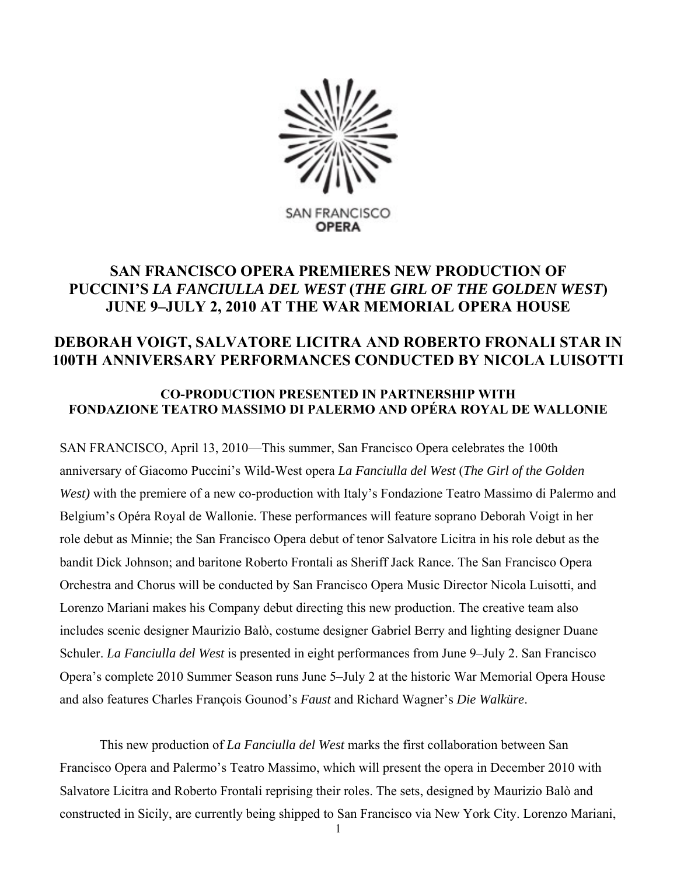

# **SAN FRANCISCO OPERA PREMIERES NEW PRODUCTION OF PUCCINI'S** *LA FANCIULLA DEL WEST* **(***THE GIRL OF THE GOLDEN WEST***) JUNE 9–JULY 2, 2010 AT THE WAR MEMORIAL OPERA HOUSE**

# **DEBORAH VOIGT, SALVATORE LICITRA AND ROBERTO FRONALI STAR IN 100TH ANNIVERSARY PERFORMANCES CONDUCTED BY NICOLA LUISOTTI**

# **CO-PRODUCTION PRESENTED IN PARTNERSHIP WITH FONDAZIONE TEATRO MASSIMO DI PALERMO AND OPÉRA ROYAL DE WALLONIE**

SAN FRANCISCO, April 13, 2010—This summer, San Francisco Opera celebrates the 100th anniversary of Giacomo Puccini's Wild-West opera *La Fanciulla del West* (*The Girl of the Golden West)* with the premiere of a new co-production with Italy's Fondazione Teatro Massimo di Palermo and Belgium's Opéra Royal de Wallonie. These performances will feature soprano Deborah Voigt in her role debut as Minnie; the San Francisco Opera debut of tenor Salvatore Licitra in his role debut as the bandit Dick Johnson; and baritone Roberto Frontali as Sheriff Jack Rance. The San Francisco Opera Orchestra and Chorus will be conducted by San Francisco Opera Music Director Nicola Luisotti, and Lorenzo Mariani makes his Company debut directing this new production. The creative team also includes scenic designer Maurizio Balò, costume designer Gabriel Berry and lighting designer Duane Schuler. *La Fanciulla del West* is presented in eight performances from June 9–July 2. San Francisco Opera's complete 2010 Summer Season runs June 5–July 2 at the historic War Memorial Opera House and also features Charles François Gounod's *Faust* and Richard Wagner's *Die Walküre*.

This new production of *La Fanciulla del West* marks the first collaboration between San Francisco Opera and Palermo's Teatro Massimo, which will present the opera in December 2010 with Salvatore Licitra and Roberto Frontali reprising their roles. The sets, designed by Maurizio Balò and constructed in Sicily, are currently being shipped to San Francisco via New York City. Lorenzo Mariani,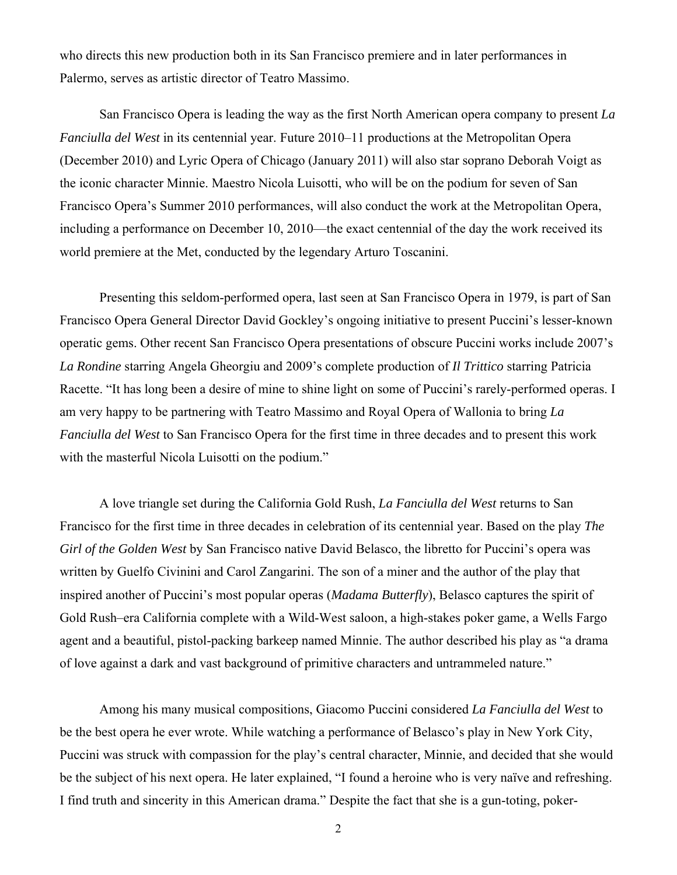who directs this new production both in its San Francisco premiere and in later performances in Palermo, serves as artistic director of Teatro Massimo.

San Francisco Opera is leading the way as the first North American opera company to present *La Fanciulla del West* in its centennial year. Future 2010–11 productions at the Metropolitan Opera (December 2010) and Lyric Opera of Chicago (January 2011) will also star soprano Deborah Voigt as the iconic character Minnie. Maestro Nicola Luisotti, who will be on the podium for seven of San Francisco Opera's Summer 2010 performances, will also conduct the work at the Metropolitan Opera, including a performance on December 10, 2010—the exact centennial of the day the work received its world premiere at the Met, conducted by the legendary Arturo Toscanini.

Presenting this seldom-performed opera, last seen at San Francisco Opera in 1979, is part of San Francisco Opera General Director David Gockley's ongoing initiative to present Puccini's lesser-known operatic gems. Other recent San Francisco Opera presentations of obscure Puccini works include 2007's *La Rondine* starring Angela Gheorgiu and 2009's complete production of *Il Trittico* starring Patricia Racette. "It has long been a desire of mine to shine light on some of Puccini's rarely-performed operas. I am very happy to be partnering with Teatro Massimo and Royal Opera of Wallonia to bring *La Fanciulla del West* to San Francisco Opera for the first time in three decades and to present this work with the masterful Nicola Luisotti on the podium."

A love triangle set during the California Gold Rush, *La Fanciulla del West* returns to San Francisco for the first time in three decades in celebration of its centennial year. Based on the play *The Girl of the Golden West* by San Francisco native David Belasco, the libretto for Puccini's opera was written by Guelfo Civinini and Carol Zangarini. The son of a miner and the author of the play that inspired another of Puccini's most popular operas (*Madama Butterfly*), Belasco captures the spirit of Gold Rush–era California complete with a Wild-West saloon, a high-stakes poker game, a Wells Fargo agent and a beautiful, pistol-packing barkeep named Minnie. The author described his play as "a drama of love against a dark and vast background of primitive characters and untrammeled nature."

Among his many musical compositions, Giacomo Puccini considered *La Fanciulla del West* to be the best opera he ever wrote. While watching a performance of Belasco's play in New York City, Puccini was struck with compassion for the play's central character, Minnie, and decided that she would be the subject of his next opera. He later explained, "I found a heroine who is very naïve and refreshing. I find truth and sincerity in this American drama." Despite the fact that she is a gun-toting, poker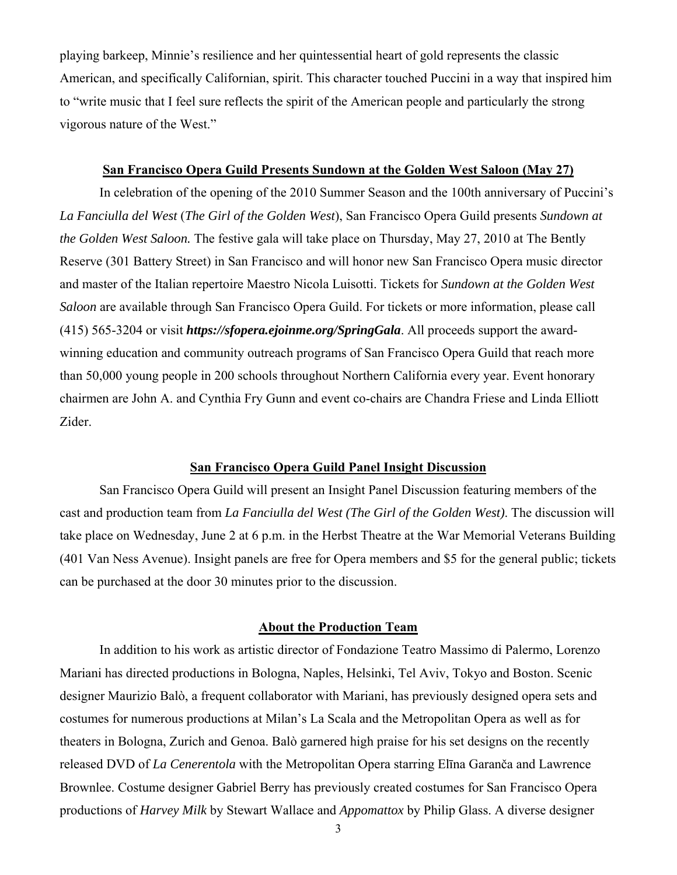playing barkeep, Minnie's resilience and her quintessential heart of gold represents the classic American, and specifically Californian, spirit. This character touched Puccini in a way that inspired him to "write music that I feel sure reflects the spirit of the American people and particularly the strong vigorous nature of the West."

#### **San Francisco Opera Guild Presents Sundown at the Golden West Saloon (May 27)**

In celebration of the opening of the 2010 Summer Season and the 100th anniversary of Puccini's *La Fanciulla del West* (*The Girl of the Golden West*), San Francisco Opera Guild presents *Sundown at the Golden West Saloon.* The festive gala will take place on Thursday, May 27, 2010 at The Bently Reserve (301 Battery Street) in San Francisco and will honor new San Francisco Opera music director and master of the Italian repertoire Maestro Nicola Luisotti. Tickets for *Sundown at the Golden West Saloon* are available through San Francisco Opera Guild. For tickets or more information, please call (415) 565-3204 or visit *https://sfopera.ejoinme.org/SpringGala*. All proceeds support the awardwinning education and community outreach programs of San Francisco Opera Guild that reach more than 50,000 young people in 200 schools throughout Northern California every year. Event honorary chairmen are John A. and Cynthia Fry Gunn and event co-chairs are Chandra Friese and Linda Elliott Zider.

## **San Francisco Opera Guild Panel Insight Discussion**

San Francisco Opera Guild will present an Insight Panel Discussion featuring members of the cast and production team from *La Fanciulla del West (The Girl of the Golden West)*. The discussion will take place on Wednesday, June 2 at 6 p.m. in the Herbst Theatre at the War Memorial Veterans Building (401 Van Ness Avenue). Insight panels are free for Opera members and \$5 for the general public; tickets can be purchased at the door 30 minutes prior to the discussion.

#### **About the Production Team**

In addition to his work as artistic director of Fondazione Teatro Massimo di Palermo, Lorenzo Mariani has directed productions in Bologna, Naples, Helsinki, Tel Aviv, Tokyo and Boston. Scenic designer Maurizio Balò, a frequent collaborator with Mariani, has previously designed opera sets and costumes for numerous productions at Milan's La Scala and the Metropolitan Opera as well as for theaters in Bologna, Zurich and Genoa. Balò garnered high praise for his set designs on the recently released DVD of *La Cenerentola* with the Metropolitan Opera starring Elīna Garanča and Lawrence Brownlee. Costume designer Gabriel Berry has previously created costumes for San Francisco Opera productions of *Harvey Milk* by Stewart Wallace and *Appomattox* by Philip Glass. A diverse designer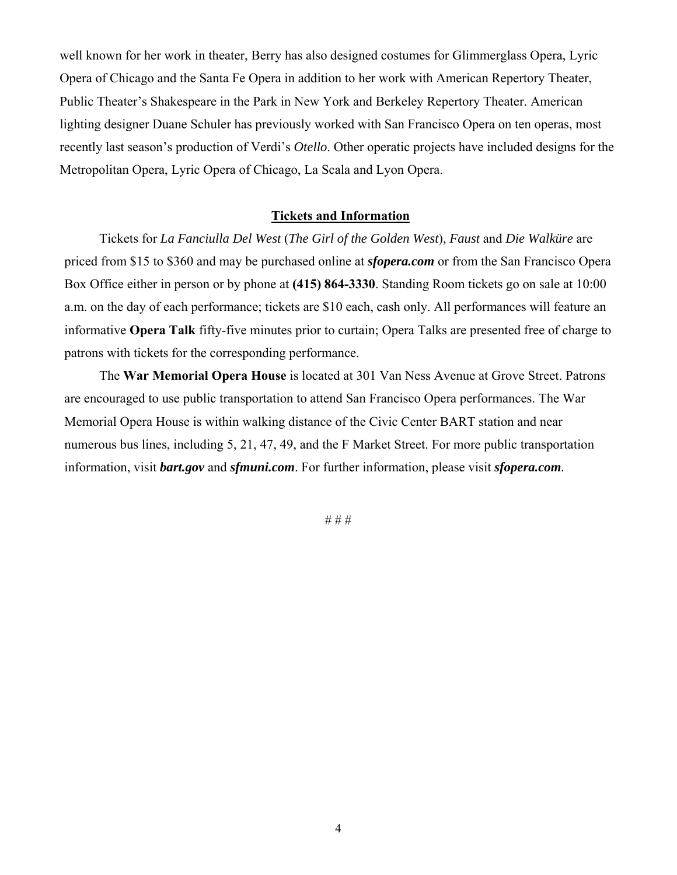well known for her work in theater, Berry has also designed costumes for Glimmerglass Opera, Lyric Opera of Chicago and the Santa Fe Opera in addition to her work with American Repertory Theater, Public Theater's Shakespeare in the Park in New York and Berkeley Repertory Theater. American lighting designer Duane Schuler has previously worked with San Francisco Opera on ten operas, most recently last season's production of Verdi's *Otello*. Other operatic projects have included designs for the Metropolitan Opera, Lyric Opera of Chicago, La Scala and Lyon Opera.

### **Tickets and Information**

Tickets for *La Fanciulla Del West* (*The Girl of the Golden West*)*, Faust* and *Die Walküre* are priced from \$15 to \$360 and may be purchased online at *sfopera.com* or from the San Francisco Opera Box Office either in person or by phone at **(415) 864-3330**. Standing Room tickets go on sale at 10:00 a.m. on the day of each performance; tickets are \$10 each, cash only. All performances will feature an informative **Opera Talk** fifty-five minutes prior to curtain; Opera Talks are presented free of charge to patrons with tickets for the corresponding performance.

The **War Memorial Opera House** is located at 301 Van Ness Avenue at Grove Street. Patrons are encouraged to use public transportation to attend San Francisco Opera performances. The War Memorial Opera House is within walking distance of the Civic Center BART station and near numerous bus lines, including 5, 21, 47, 49, and the F Market Street. For more public transportation information, visit *bart.gov* and *sfmuni.com*. For further information, please visit *sfopera.com.*

# # #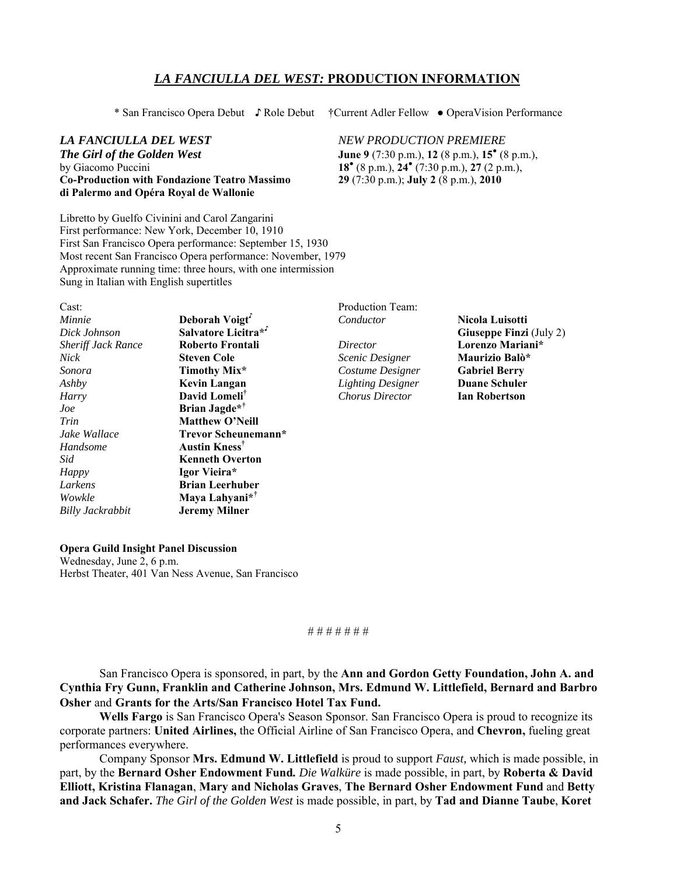## *LA FANCIULLA DEL WEST:* **PRODUCTION INFORMATION**

*The Girl of the Golden West* **June 9** (7:30 p.m.), **12** (8 p.m.), **15<sup>°</sup>** (8 p.m.), **by Giacomo Puccini Co-Production with Fondazione Teatro Massimo 29** (7:30 p.m.); **July 2** (8 p.m.), **2010 di Palermo and Opéra Royal de Wallonie**

\* San Francisco Opera Debut ♪ Role Debut †Current Adler Fellow ● OperaVision Performance

#### *LA FANCIULLA DEL WEST NEW PRODUCTION PREMIERE*

(8 p.m.), **24●** (7:30 p.m.), **27** (2 p.m.),

Libretto by Guelfo Civinini and Carol Zangarini First performance: New York, December 10, 1910 First San Francisco Opera performance: September 15, 1930 Most recent San Francisco Opera performance: November, 1979 Approximate running time: three hours, with one intermission Sung in Italian with English supertitles

| Cast:                     |                            |
|---------------------------|----------------------------|
| Minnie                    | Deborah Voigt              |
| Dick Johnson              | Salvatore Licitra*'        |
| <b>Sheriff Jack Rance</b> | Roberto Frontali           |
| <b>Nick</b>               | Steven Cole                |
| Sonora                    | Timothy Mix*               |
| Ashby                     | Kevin Langan               |
| Harry                     | David Lomeli <sup>†</sup>  |
| .Joe                      | Brian Jagde* <sup>†</sup>  |
| Trin                      | <b>Matthew O'Neill</b>     |
| Jake Wallace              | Trevor Scheunemann*        |
| Handsome                  | Austin Kness <sup>†</sup>  |
| Sid                       | <b>Kenneth Overton</b>     |
| <b>Happy</b>              | Igor Vieira*               |
| Larkens                   | <b>Brian Leerhuber</b>     |
| Wowkle                    | Maya Lahyani* <sup>†</sup> |
| Billy Jackrabbit          | <b>Jeremy Milner</b>       |

Production Team: *Conductor* **Nicola Luisotti**

*Nick* **Steven Cole** *Scenic Designer* **Maurizio Balò\*** *Sonora* **Timothy Mix\*** *Costume Designer* **Gabriel Berry** *Ashby* **Kevin Langan** *Lighting Designer* **Duane Schuler**  *Harry* **David Lomeli†** *Chorus Director* **Ian Robertson**

**Giuseppe Finzi** (July 2) *Sheriff Jack Rance* **Roberto Frontali** *Director* **Lorenzo Mariani\***

## **Opera Guild Insight Panel Discussion**  Wednesday, June 2, 6 p.m.

Herbst Theater, 401 Van Ness Avenue, San Francisco

#### # # # # # # #

San Francisco Opera is sponsored, in part, by the **Ann and Gordon Getty Foundation, John A. and Cynthia Fry Gunn, Franklin and Catherine Johnson, Mrs. Edmund W. Littlefield, Bernard and Barbro Osher** and **Grants for the Arts/San Francisco Hotel Tax Fund.**

**Wells Fargo** is San Francisco Opera's Season Sponsor. San Francisco Opera is proud to recognize its corporate partners: **United Airlines,** the Official Airline of San Francisco Opera, and **Chevron,** fueling great performances everywhere.

Company Sponsor **Mrs. Edmund W. Littlefield** is proud to support *Faust,* which is made possible, in part, by the **Bernard Osher Endowment Fund***. Die Walküre* is made possible, in part, by **Roberta & David Elliott, Kristina Flanagan**, **Mary and Nicholas Graves**, **The Bernard Osher Endowment Fund** and **Betty and Jack Schafer.** *The Girl of the Golden West* is made possible, in part, by **Tad and Dianne Taube**, **Koret**